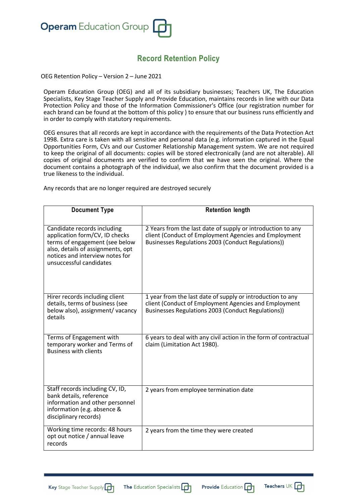

## **Record Retention Policy**

OEG Retention Policy – Version 2 – June 2021

Operam Education Group (OEG) and all of its subsidiary businesses; Teachers UK, The Education Specialists, Key Stage Teacher Supply and Provide Education, maintains records in line with our Data Protection Policy and those of the Information Commissioner's Office (our registration number for each brand can be found at the bottom of this policy ) to ensure that our business runs efficiently and in order to comply with statutory requirements.

OEG ensures that all records are kept in accordance with the requirements of the Data Protection Act 1998. Extra care is taken with all sensitive and personal data (e.g. information captured in the Equal Opportunities Form, CVs and our Customer Relationship Management system. We are not required to keep the original of all documents: copies will be stored electronically (and are not alterable). All copies of original documents are verified to confirm that we have seen the original. Where the document contains a photograph of the individual, we also confirm that the document provided is a true likeness to the individual.

Any records that are no longer required are destroyed securely

| <b>Document Type</b>                                                                                                                                                                               | <b>Retention length</b>                                                                                                                                                    |
|----------------------------------------------------------------------------------------------------------------------------------------------------------------------------------------------------|----------------------------------------------------------------------------------------------------------------------------------------------------------------------------|
| Candidate records including<br>application form/CV, ID checks<br>terms of engagement (see below<br>also, details of assignments, opt<br>notices and interview notes for<br>unsuccessful candidates | 2 Years from the last date of supply or introduction to any<br>client (Conduct of Employment Agencies and Employment<br>Businesses Regulations 2003 (Conduct Regulations)) |
| Hirer records including client<br>details, terms of business (see<br>below also), assignment/vacancy<br>details                                                                                    | 1 year from the last date of supply or introduction to any<br>client (Conduct of Employment Agencies and Employment<br>Businesses Regulations 2003 (Conduct Regulations))  |
| Terms of Engagement with<br>temporary worker and Terms of<br><b>Business with clients</b>                                                                                                          | 6 years to deal with any civil action in the form of contractual<br>claim (Limitation Act 1980).                                                                           |
| Staff records including CV, ID,<br>bank details, reference<br>information and other personnel<br>information (e.g. absence &<br>disciplinary records)                                              | 2 years from employee termination date                                                                                                                                     |
| Working time records: 48 hours<br>opt out notice / annual leave<br>records                                                                                                                         | 2 years from the time they were created                                                                                                                                    |





Teachers  $\cup\hspace{-.05cm}\times$